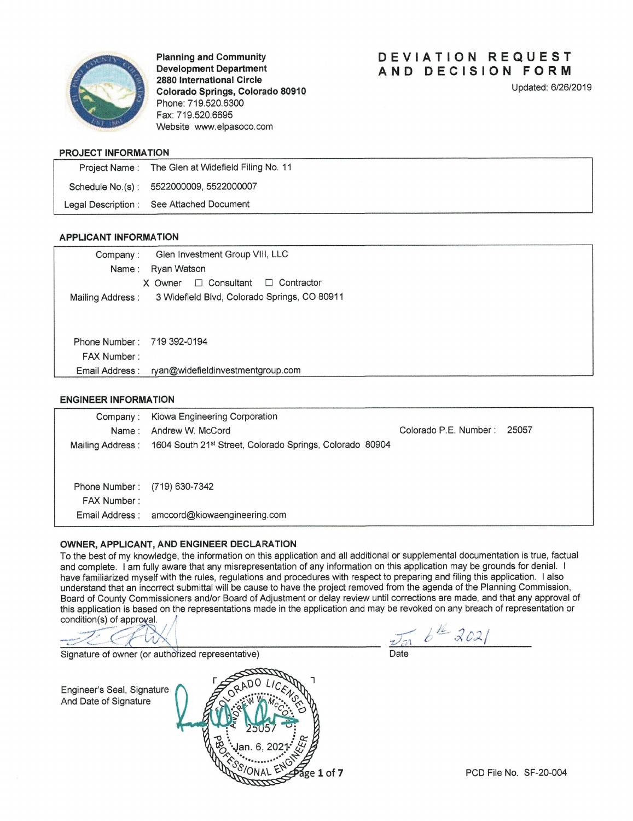

**Planning and Community Development Department** 2880 International Circle Colorado Springs, Colorado 80910 Phone: 719.520.6300 Fax: 719.520.6695 Website www.elpasoco.com

# DEVIATION REQUEST AND DECISION FORM

Updated: 6/26/2019

### PROJECT INFORMATION

| Project Name: The Glen at Widefield Filing No. 11 |
|---------------------------------------------------|
| Schedule No.(s): 5522000009, 5522000007           |
| Legal Description : See Attached Document         |

## **APPLICANT INFORMATION**

| Company:                   | Glen Investment Group VIII, LLC                                |
|----------------------------|----------------------------------------------------------------|
| Name :                     | Ryan Watson                                                    |
|                            | $\Box$ Consultant<br>Contractor<br>$\Box$<br>X Owner           |
|                            | Mailing Address : 3 Widefield Blvd, Colorado Springs, CO 80911 |
|                            |                                                                |
|                            |                                                                |
| Phone Number: 719 392-0194 |                                                                |
| <b>FAX Number:</b>         |                                                                |
| Email Address :            | ryan@widefieldinvestmentgroup.com                              |
|                            |                                                                |

#### **ENGINEER INFORMATION**

| Company:           | Kiowa Engineering Corporation                            |                       |       |
|--------------------|----------------------------------------------------------|-----------------------|-------|
| Name :             | Andrew W. McCord                                         | Colorado P.E. Number: | 25057 |
| Mailing Address:   | 1604 South 21st Street, Colorado Springs, Colorado 80904 |                       |       |
|                    |                                                          |                       |       |
|                    |                                                          |                       |       |
| Phone Number:      | (719) 630-7342                                           |                       |       |
| <b>FAX Number:</b> |                                                          |                       |       |
|                    | Email Address : amccord@kiowaengineering.com             |                       |       |

### OWNER, APPLICANT, AND ENGINEER DECLARATION

To the best of my knowledge, the information on this application and all additional or supplemental documentation is true, factual and complete. I am fully aware that any misrepresentation of any information on this application may be grounds for denial. I have familiarized myself with the rules, regulations and procedures with respect to preparing and filing this application. I also understand that an incorrect submittal will be cause to have the project removed from the agenda of the Planning Commission, Board of County Commissioners and/or Board of Adjustment or delay review until corrections are made, and that any approval of this application is based on the representations made in the application and may be revoked on any breach of representation or condition(s) of approval.

Signature of owner (or authorized representative)

 $\overline{v_{\alpha 0}}$   $b^{\frac{12}{2}}$  2021

Engineer's Seal, Signature And Date of Signature

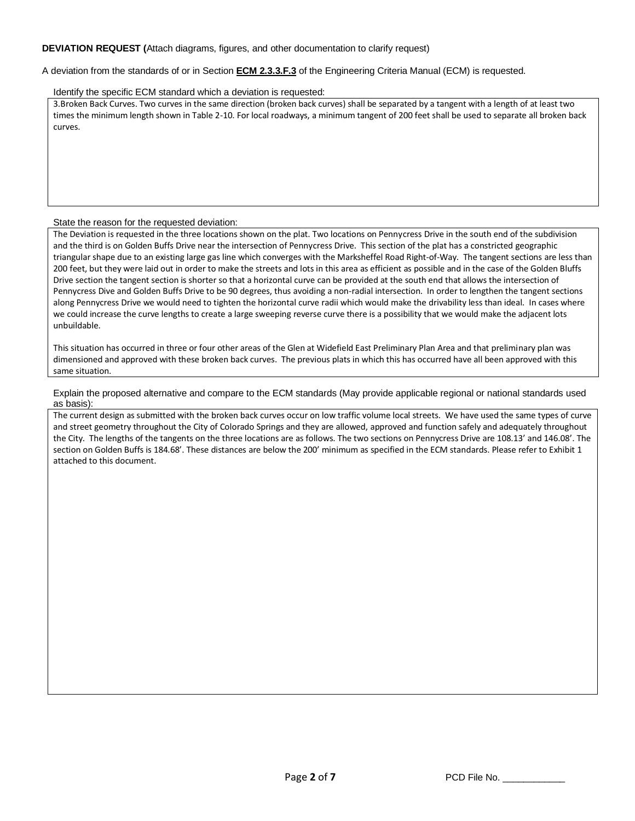## **DEVIATION REQUEST (**Attach diagrams, figures, and other documentation to clarify request)

A deviation from the standards of or in Section **ECM 2.3.3.F.3** of the Engineering Criteria Manual (ECM) is requested.

#### Identify the specific ECM standard which a deviation is requested:

3.Broken Back Curves. Two curves in the same direction (broken back curves) shall be separated by a tangent with a length of at least two times the minimum length shown in Table 2-10. For local roadways, a minimum tangent of 200 feet shall be used to separate all broken back curves.

#### State the reason for the requested deviation:

The Deviation is requested in the three locations shown on the plat. Two locations on Pennycress Drive in the south end of the subdivision and the third is on Golden Buffs Drive near the intersection of Pennycress Drive. This section of the plat has a constricted geographic triangular shape due to an existing large gas line which converges with the Marksheffel Road Right-of-Way. The tangent sections are less than 200 feet, but they were laid out in order to make the streets and lots in this area as efficient as possible and in the case of the Golden Bluffs Drive section the tangent section is shorter so that a horizontal curve can be provided at the south end that allows the intersection of Pennycress Dive and Golden Buffs Drive to be 90 degrees, thus avoiding a non-radial intersection. In order to lengthen the tangent sections along Pennycress Drive we would need to tighten the horizontal curve radii which would make the drivability less than ideal. In cases where we could increase the curve lengths to create a large sweeping reverse curve there is a possibility that we would make the adjacent lots unbuildable.

This situation has occurred in three or four other areas of the Glen at Widefield East Preliminary Plan Area and that preliminary plan was dimensioned and approved with these broken back curves. The previous plats in which this has occurred have all been approved with this same situation.

Explain the proposed alternative and compare to the ECM standards (May provide applicable regional or national standards used as basis):

The current design as submitted with the broken back curves occur on low traffic volume local streets. We have used the same types of curve and street geometry throughout the City of Colorado Springs and they are allowed, approved and function safely and adequately throughout the City. The lengths of the tangents on the three locations are as follows. The two sections on Pennycress Drive are 108.13' and 146.08'. The section on Golden Buffs is 184.68'. These distances are below the 200' minimum as specified in the ECM standards. Please refer to Exhibit 1 attached to this document.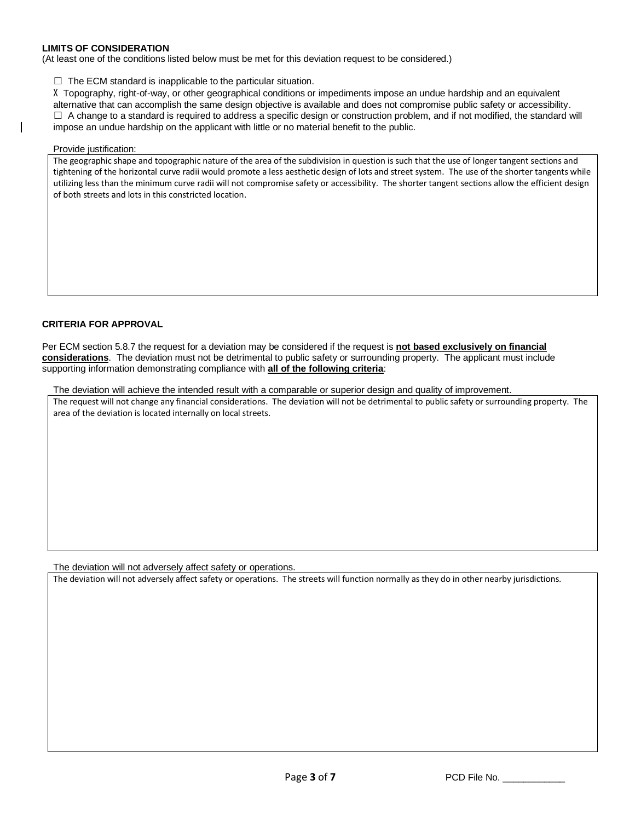## **LIMITS OF CONSIDERATION**

(At least one of the conditions listed below must be met for this deviation request to be considered.)

 $\Box$  The ECM standard is inapplicable to the particular situation.

X Topography, right-of-way, or other geographical conditions or impediments impose an undue hardship and an equivalent alternative that can accomplish the same design objective is available and does not compromise public safety or accessibility.  $\Box$  A change to a standard is required to address a specific design or construction problem, and if not modified, the standard will impose an undue hardship on the applicant with little or no material benefit to the public.

#### Provide justification:

The geographic shape and topographic nature of the area of the subdivision in question is such that the use of longer tangent sections and tightening of the horizontal curve radii would promote a less aesthetic design of lots and street system. The use of the shorter tangents while utilizing less than the minimum curve radii will not compromise safety or accessibility. The shorter tangent sections allow the efficient design of both streets and lots in this constricted location.

## **CRITERIA FOR APPROVAL**

Per ECM section 5.8.7 the request for a deviation may be considered if the request is **not based exclusively on financial considerations**. The deviation must not be detrimental to public safety or surrounding property. The applicant must include supporting information demonstrating compliance with **all of the following criteria**:

The deviation will achieve the intended result with a comparable or superior design and quality of improvement. The request will not change any financial considerations. The deviation will not be detrimental to public safety or surrounding property. The area of the deviation is located internally on local streets.

The deviation will not adversely affect safety or operations.

The deviation will not adversely affect safety or operations. The streets will function normally as they do in other nearby jurisdictions.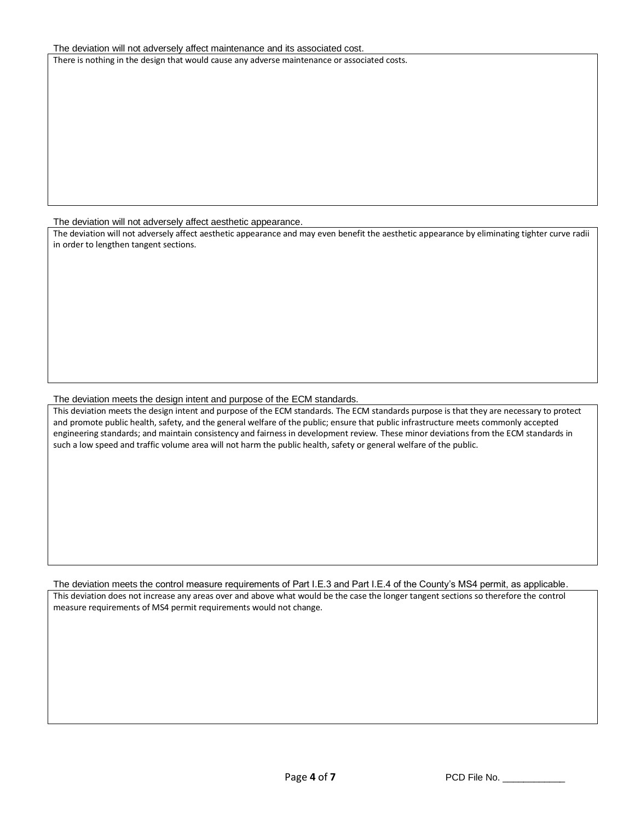#### The deviation will not adversely affect maintenance and its associated cost.

There is nothing in the design that would cause any adverse maintenance or associated costs.

The deviation will not adversely affect aesthetic appearance.

The deviation will not adversely affect aesthetic appearance and may even benefit the aesthetic appearance by eliminating tighter curve radii in order to lengthen tangent sections.

## The deviation meets the design intent and purpose of the ECM standards.

This deviation meets the design intent and purpose of the ECM standards. The ECM standards purpose is that they are necessary to protect and promote public health, safety, and the general welfare of the public; ensure that public infrastructure meets commonly accepted engineering standards; and maintain consistency and fairness in development review. These minor deviations from the ECM standards in such a low speed and traffic volume area will not harm the public health, safety or general welfare of the public.

The deviation meets the control measure requirements of Part I.E.3 and Part I.E.4 of the County's MS4 permit, as applicable. This deviation does not increase any areas over and above what would be the case the longer tangent sections so therefore the control measure requirements of MS4 permit requirements would not change.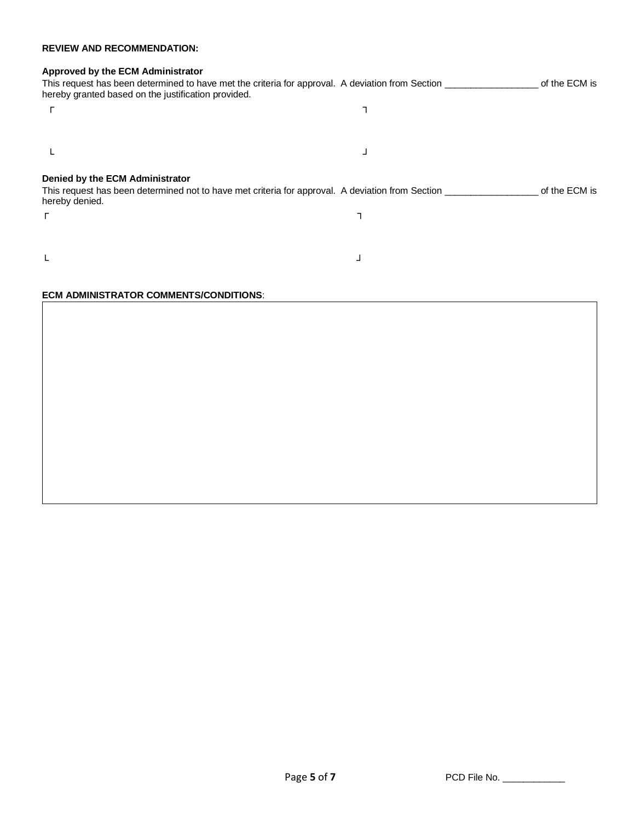## **REVIEW AND RECOMMENDATION:**

# **Approved by the ECM Administrator**

| hereby granted based on the justification provided. | This request has been determined to have met the criteria for approval. A deviation from Section _________    | of the ECM is |
|-----------------------------------------------------|---------------------------------------------------------------------------------------------------------------|---------------|
|                                                     |                                                                                                               |               |
|                                                     |                                                                                                               |               |
|                                                     |                                                                                                               |               |
| Denied by the ECM Administrator<br>hereby denied.   | This request has been determined not to have met criteria for approval. A deviation from Section ____________ | of the ECM is |
|                                                     |                                                                                                               |               |
| Г                                                   |                                                                                                               |               |
|                                                     |                                                                                                               |               |

# **ECM ADMINISTRATOR COMMENTS/CONDITIONS**: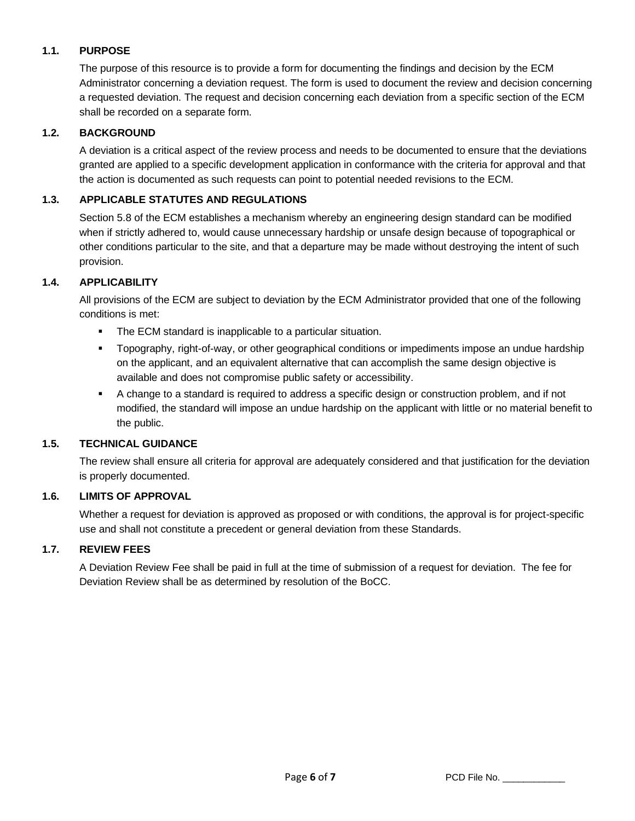# **1.1. PURPOSE**

The purpose of this resource is to provide a form for documenting the findings and decision by the ECM Administrator concerning a deviation request. The form is used to document the review and decision concerning a requested deviation. The request and decision concerning each deviation from a specific section of the ECM shall be recorded on a separate form.

## **1.2. BACKGROUND**

A deviation is a critical aspect of the review process and needs to be documented to ensure that the deviations granted are applied to a specific development application in conformance with the criteria for approval and that the action is documented as such requests can point to potential needed revisions to the ECM.

# **1.3. APPLICABLE STATUTES AND REGULATIONS**

Section 5.8 of the ECM establishes a mechanism whereby an engineering design standard can be modified when if strictly adhered to, would cause unnecessary hardship or unsafe design because of topographical or other conditions particular to the site, and that a departure may be made without destroying the intent of such provision.

## **1.4. APPLICABILITY**

All provisions of the ECM are subject to deviation by the ECM Administrator provided that one of the following conditions is met:

- The ECM standard is inapplicable to a particular situation.
- Topography, right-of-way, or other geographical conditions or impediments impose an undue hardship on the applicant, and an equivalent alternative that can accomplish the same design objective is available and does not compromise public safety or accessibility.
- A change to a standard is required to address a specific design or construction problem, and if not modified, the standard will impose an undue hardship on the applicant with little or no material benefit to the public.

# **1.5. TECHNICAL GUIDANCE**

The review shall ensure all criteria for approval are adequately considered and that justification for the deviation is properly documented.

## **1.6. LIMITS OF APPROVAL**

Whether a request for deviation is approved as proposed or with conditions, the approval is for project-specific use and shall not constitute a precedent or general deviation from these Standards.

## **1.7. REVIEW FEES**

A Deviation Review Fee shall be paid in full at the time of submission of a request for deviation. The fee for Deviation Review shall be as determined by resolution of the BoCC.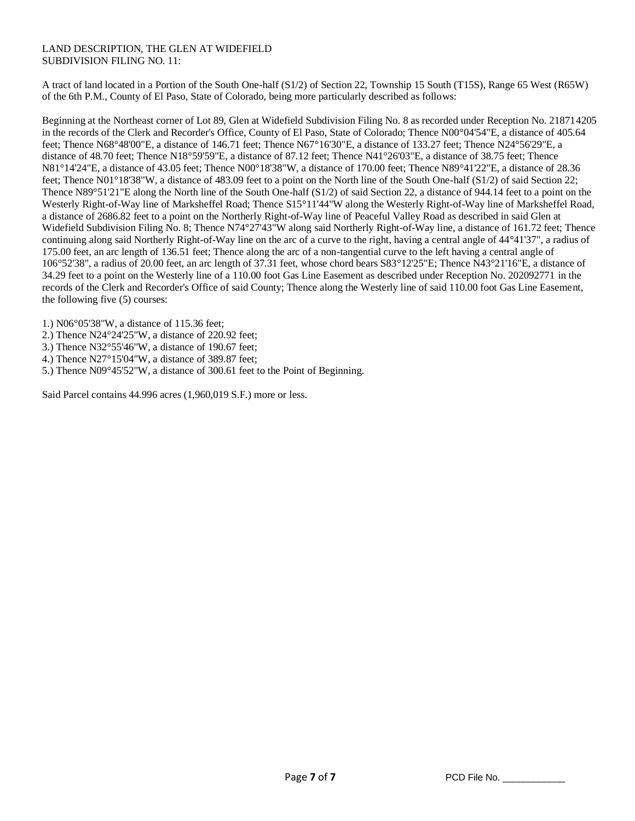## LAND DESCRIPTION, THE GLEN AT WIDEFIELD SUBDIVISION FILING NO. 11:

A tract of land located in a Portion of the South One-half (S1/2) of Section 22, Township 15 South (T15S), Range 65 West (R65W) of the 6th P.M., County of El Paso, State of Colorado, being more particularly described as follows:

Beginning at the Northeast corner of Lot 89, Glen at Widefield Subdivision Filing No. 8 as recorded under Reception No. 218714205 in the records of the Clerk and Recorder's Office, County of El Paso, State of Colorado; Thence N00°04'54"E, a distance of 405.64 feet; Thence N68°48'00"E, a distance of 146.71 feet; Thence N67°16'30"E, a distance of 133.27 feet; Thence N24°56'29"E, a distance of 48.70 feet; Thence N18°59'59"E, a distance of 87.12 feet; Thence N41°26'03"E, a distance of 38.75 feet; Thence N81°14'24"E, a distance of 43.05 feet; Thence N00°18'38"W, a distance of 170.00 feet; Thence N89°41'22"E, a distance of 28.36 feet; Thence N01°18'38"W, a distance of 483.09 feet to a point on the North line of the South One-half (S1/2) of said Section 22; Thence N89°51'21"E along the North line of the South One-half (S1/2) of said Section 22, a distance of 944.14 feet to a point on the Westerly Right-of-Way line of Marksheffel Road; Thence S15°11'44"W along the Westerly Right-of-Way line of Marksheffel Road, a distance of 2686.82 feet to a point on the Northerly Right-of-Way line of Peaceful Valley Road as described in said Glen at Widefield Subdivision Filing No. 8; Thence N74°27'43"W along said Northerly Right-of-Way line, a distance of 161.72 feet; Thence continuing along said Northerly Right-of-Way line on the arc of a curve to the right, having a central angle of 44°41'37", a radius of 175.00 feet, an arc length of 136.51 feet; Thence along the arc of a non-tangential curve to the left having a central angle of 106°52'38", a radius of 20.00 feet, an arc length of 37.31 feet, whose chord bears S83°12'25"E; Thence N43°21'16"E, a distance of 34.29 feet to a point on the Westerly line of a 110.00 foot Gas Line Easement as described under Reception No. 202092771 in the records of the Clerk and Recorder's Office of said County; Thence along the Westerly line of said 110.00 foot Gas Line Easement, the following five (5) courses:

1.) N06°05'38"W, a distance of 115.36 feet;

2.) Thence N24°24'25"W, a distance of 220.92 feet;

3.) Thence N32°55'46"W, a distance of 190.67 feet;

4.) Thence N27°15'04"W, a distance of 389.87 feet;

5.) Thence N09°45'52"W, a distance of 300.61 feet to the Point of Beginning.

Said Parcel contains 44.996 acres (1,960,019 S.F.) more or less.